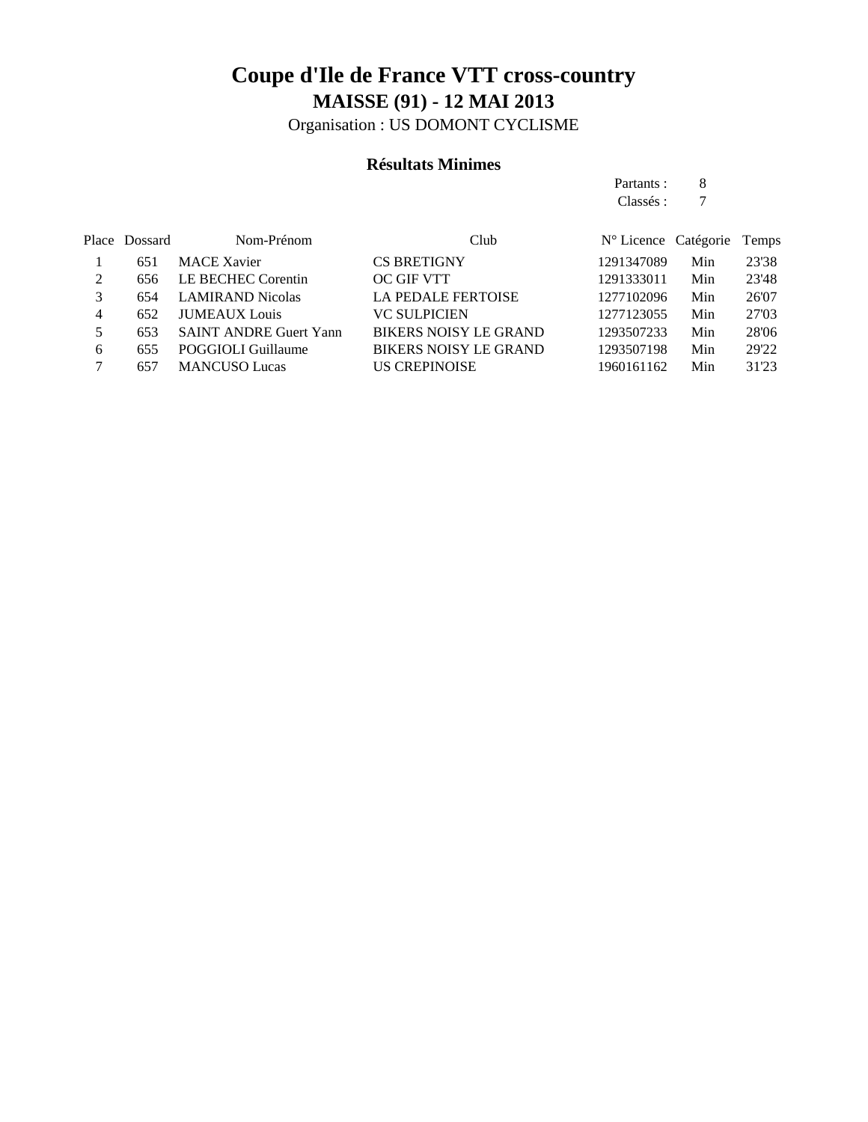Organisation : US DOMONT CYCLISME

#### **Résultats Minimes**

Partants : 8 Classés : 7

|   | Place Dossard | Nom-Prénom                    | Club                         | $N^{\circ}$ Licence Catégorie |     | Temps |
|---|---------------|-------------------------------|------------------------------|-------------------------------|-----|-------|
|   | 651           | <b>MACE Xavier</b>            | <b>CS BRETIGNY</b>           | 1291347089                    | Min | 23'38 |
|   | 656           | LE BECHEC Corentin            | <b>OC GIF VTT</b>            | 1291333011                    | Min | 23'48 |
|   | 654           | <b>LAMIRAND Nicolas</b>       | <b>LA PEDALE FERTOISE</b>    | 1277102096                    | Min | 26'07 |
| 4 | 652           | <b>JUMEAUX</b> Louis          | <b>VC SULPICIEN</b>          | 1277123055                    | Min | 27'03 |
|   | 653           | <b>SAINT ANDRE Guert Yann</b> | <b>BIKERS NOISY LE GRAND</b> | 1293507233                    | Min | 28'06 |
| 6 | 655           | POGGIOLI Guillaume            | <b>BIKERS NOISY LE GRAND</b> | 1293507198                    | Min | 29'22 |
|   | 657           | <b>MANCUSO Lucas</b>          | <b>US CREPINOISE</b>         | 1960161162                    | Min | 31'23 |
|   |               |                               |                              |                               |     |       |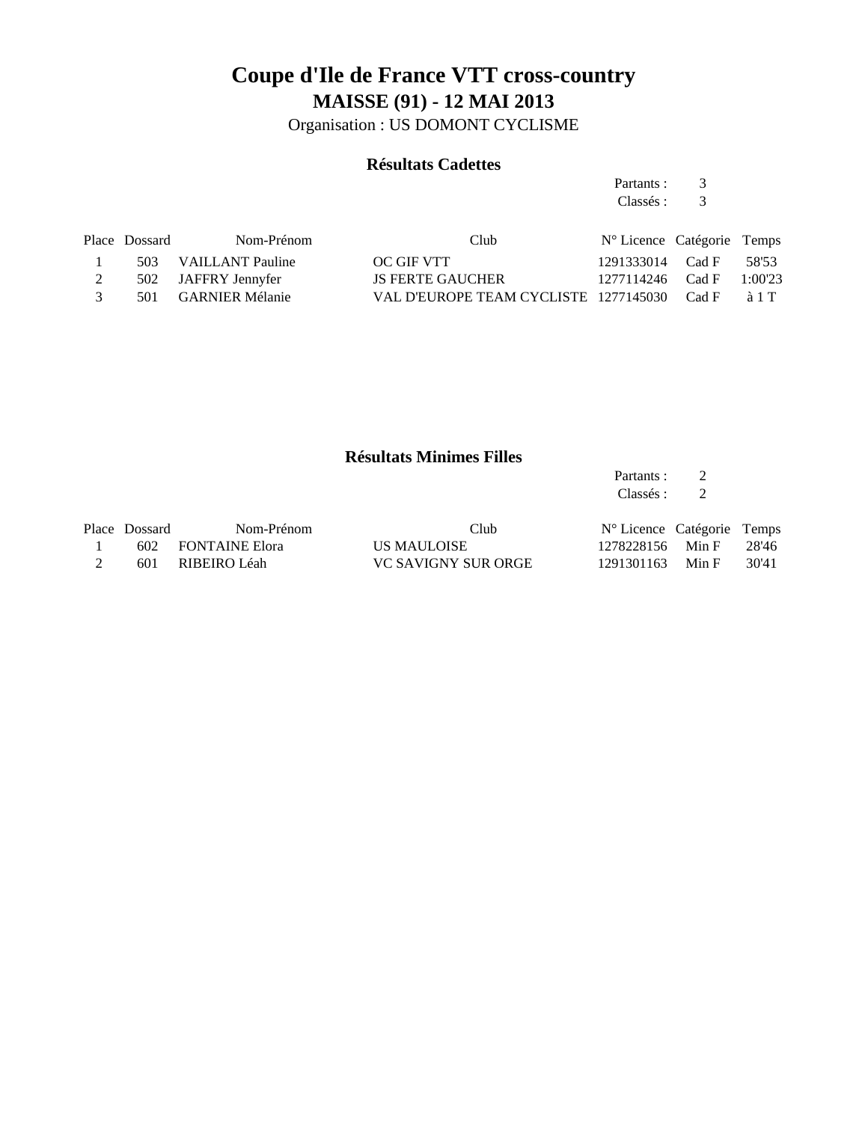Organisation : US DOMONT CYCLISME

#### **Résultats Cadettes**

Partants : 3 Classés : 3

|               | Place Dossard | Nom-Prénom           | Club                                        | N° Licence Catégorie Temps |               |
|---------------|---------------|----------------------|---------------------------------------------|----------------------------|---------------|
|               |               | 503 VAILLANT Pauline | OC GIF VTT                                  | 1291333014 Cad F           | 58'53         |
|               |               | 502 JAFFRY Jennyfer  | <b>JS FERTE GAUCHER</b>                     | 1277114246 Cad F           | 1:00'23       |
| $\mathcal{R}$ |               | 501 GARNIER Mélanie  | VAL D'EUROPE TEAM CYCLISTE 1277145030 Cad F |                            | $\lambda$ 1 T |

#### **Résultats Minimes Filles**

Partants : 2<br>Classés : 2 Classés : 2

| Place Dossard | Nom-Prénom         | Club                | N° Licence Catégorie Temps |       |       |
|---------------|--------------------|---------------------|----------------------------|-------|-------|
|               | 602 FONTAINE Elora | US MAULOISE         | 1278228156 Min F           |       | 28'46 |
|               | 601 RIBEIRO Léah   | VC SAVIGNY SUR ORGE | 1291301163                 | Min F | 30'41 |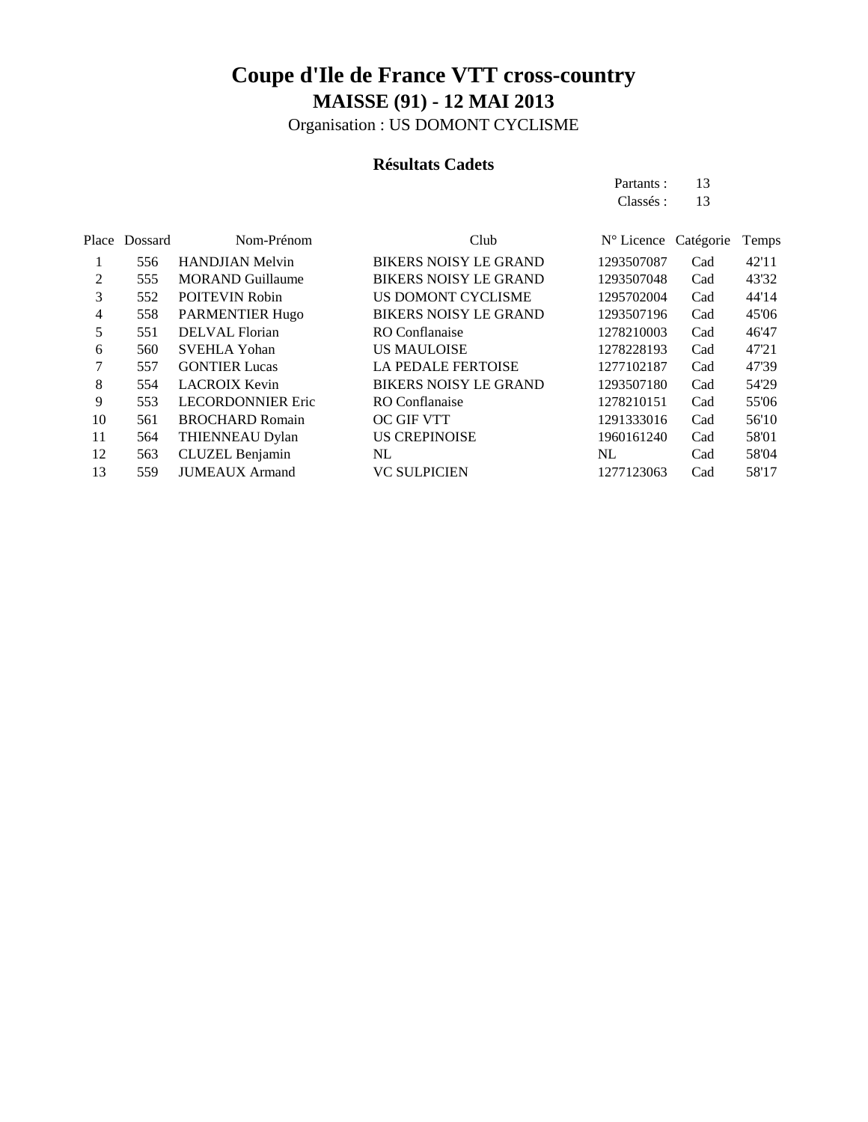Organisation : US DOMONT CYCLISME

#### **Résultats Cadets**

Partants : 13 Classés: 13

|    | Place Dossard | Nom-Prénom               | Club                         | $N^{\circ}$ Licence Catégorie |     | Temps |
|----|---------------|--------------------------|------------------------------|-------------------------------|-----|-------|
|    | 556           | <b>HANDJIAN Melvin</b>   | <b>BIKERS NOISY LE GRAND</b> | 1293507087                    | Cad | 42'11 |
| 2  | 555           | <b>MORAND Guillaume</b>  | <b>BIKERS NOISY LE GRAND</b> | 1293507048                    | Cad | 43'32 |
| 3  | 552           | <b>POITEVIN Robin</b>    | US DOMONT CYCLISME           | 1295702004                    | Cad | 44'14 |
| 4  | 558           | <b>PARMENTIER Hugo</b>   | <b>BIKERS NOISY LE GRAND</b> | 1293507196                    | Cad | 45'06 |
| 5  | 551           | DELVAL Florian           | <b>RO</b> Conflanaise        | 1278210003                    | Cad | 46'47 |
| 6  | 560           | <b>SVEHLA Yohan</b>      | <b>US MAULOISE</b>           | 1278228193                    | Cad | 47'21 |
| 7  | 557           | <b>GONTIER Lucas</b>     | <b>LA PEDALE FERTOISE</b>    | 1277102187                    | Cad | 47'39 |
| 8  | 554           | <b>LACROIX Kevin</b>     | <b>BIKERS NOISY LE GRAND</b> | 1293507180                    | Cad | 54'29 |
| 9  | 553           | <b>LECORDONNIER Eric</b> | RO Conflanaise               | 1278210151                    | Cad | 55'06 |
| 10 | 561           | <b>BROCHARD Romain</b>   | OC GIF VTT                   | 1291333016                    | Cad | 56'10 |
| 11 | 564           | THIENNEAU Dylan          | <b>US CREPINOISE</b>         | 1960161240                    | Cad | 58'01 |
| 12 | 563           | CLUZEL Benjamin          | NL                           | NL.                           | Cad | 58'04 |
| 13 | 559           | <b>JUMEAUX Armand</b>    | <b>VC SULPICIEN</b>          | 1277123063                    | Cad | 58'17 |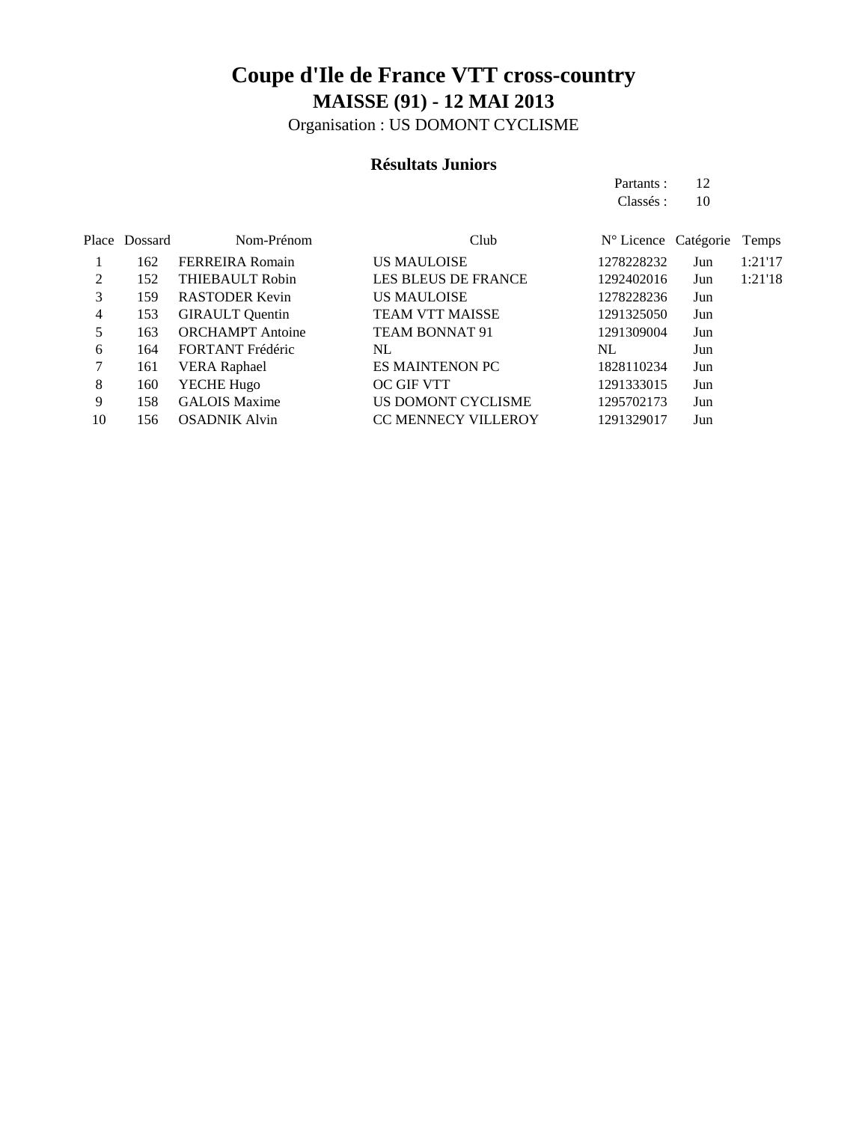Organisation : US DOMONT CYCLISME

#### **Résultats Juniors**

Partants : 12 Classés : 10

|    | Place Dossard | Nom-Prénom              | Club                       | N° Licence Catégorie |     | Temps   |
|----|---------------|-------------------------|----------------------------|----------------------|-----|---------|
|    | 162           | <b>FERREIRA</b> Romain  | <b>US MAULOISE</b>         | 1278228232           | Jun | 1:21'17 |
| 2  | 152           | THIEBAULT Robin         | <b>LES BLEUS DE FRANCE</b> | 1292402016           | Jun | 1:21'18 |
| 3  | 159           | <b>RASTODER Kevin</b>   | <b>US MAULOISE</b>         | 1278228236           | Jun |         |
| 4  | 153           | <b>GIRAULT</b> Quentin  | <b>TEAM VTT MAISSE</b>     | 1291325050           | Jun |         |
|    | 163           | <b>ORCHAMPT</b> Antoine | <b>TEAM BONNAT 91</b>      | 1291309004           | Jun |         |
| 6  | 164           | FORTANT Frédéric        | NL                         | NL                   | Jun |         |
|    | 161           | <b>VERA Raphael</b>     | <b>ES MAINTENON PC</b>     | 1828110234           | Jun |         |
| 8  | 160           | YECHE Hugo              | OC GIF VTT                 | 1291333015           | Jun |         |
| 9  | 158           | <b>GALOIS Maxime</b>    | US DOMONT CYCLISME         | 1295702173           | Jun |         |
| 10 | 156           | <b>OSADNIK Alvin</b>    | <b>CC MENNECY VILLEROY</b> | 1291329017           | Jun |         |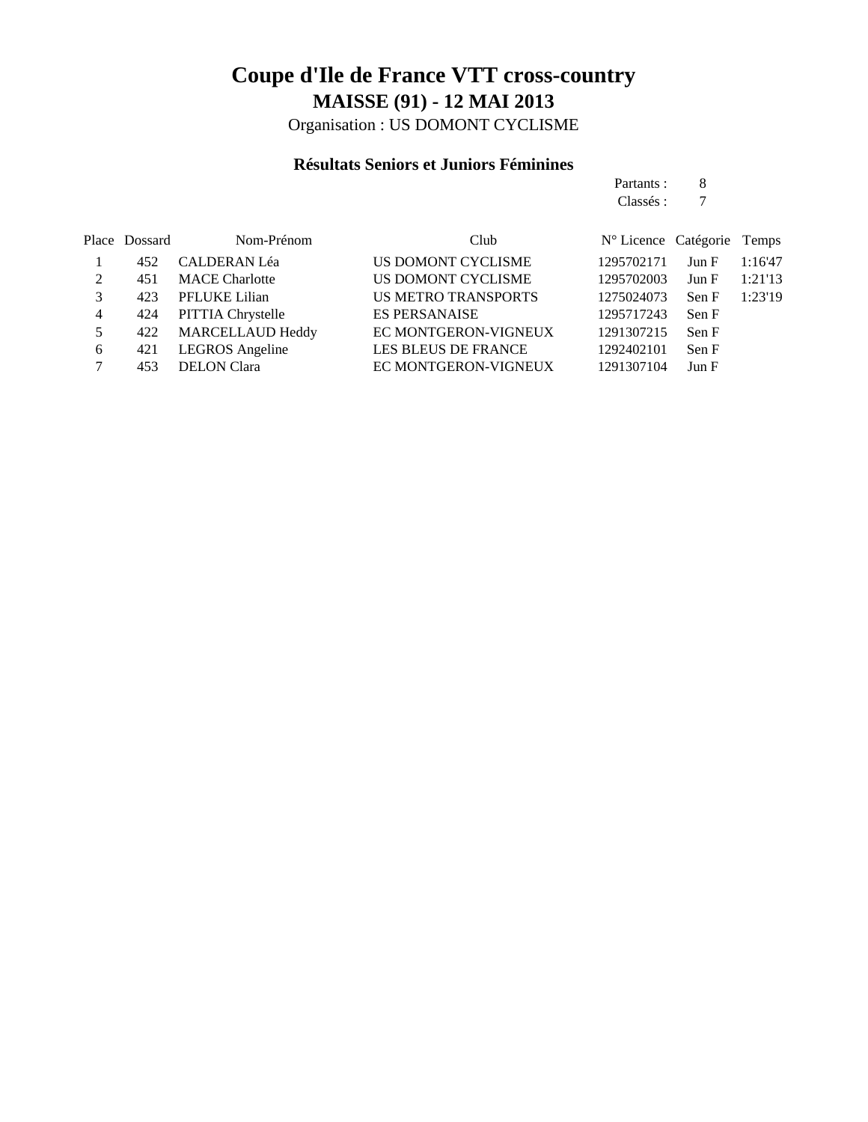Organisation : US DOMONT CYCLISME

#### **Résultats Seniors et Juniors Féminines**

|                |               |                        |                            | Partants :                    | 8     |         |
|----------------|---------------|------------------------|----------------------------|-------------------------------|-------|---------|
|                |               |                        |                            | Classés :                     | 7     |         |
|                | Place Dossard | Nom-Prénom             | Club                       | $N^{\circ}$ Licence Catégorie |       | Temps   |
|                | 452           | <b>CALDERAN Léa</b>    | US DOMONT CYCLISME         | 1295702171                    | Jun F | 1:16'47 |
| 2              | 451           | <b>MACE</b> Charlotte  | US DOMONT CYCLISME         | 1295702003                    | Jun F | 1:21'13 |
| 3              | 423           | PFLUKE Lilian          | <b>US METRO TRANSPORTS</b> | 1275024073                    | Sen F | 1:23'19 |
| $\overline{4}$ | 424           | PITTIA Chrystelle      | <b>ES PERSANAISE</b>       | 1295717243                    | Sen F |         |
| 5              | 422           | MARCELLAUD Heddy       | EC MONTGERON-VIGNEUX       | 1291307215                    | Sen F |         |
| 6              | 421           | <b>LEGROS</b> Angeline | <b>LES BLEUS DE FRANCE</b> | 1292402101                    | Sen F |         |
| 7              | 453           | <b>DELON</b> Clara     | EC MONTGERON-VIGNEUX       | 1291307104                    | Jun F |         |
|                |               |                        |                            |                               |       |         |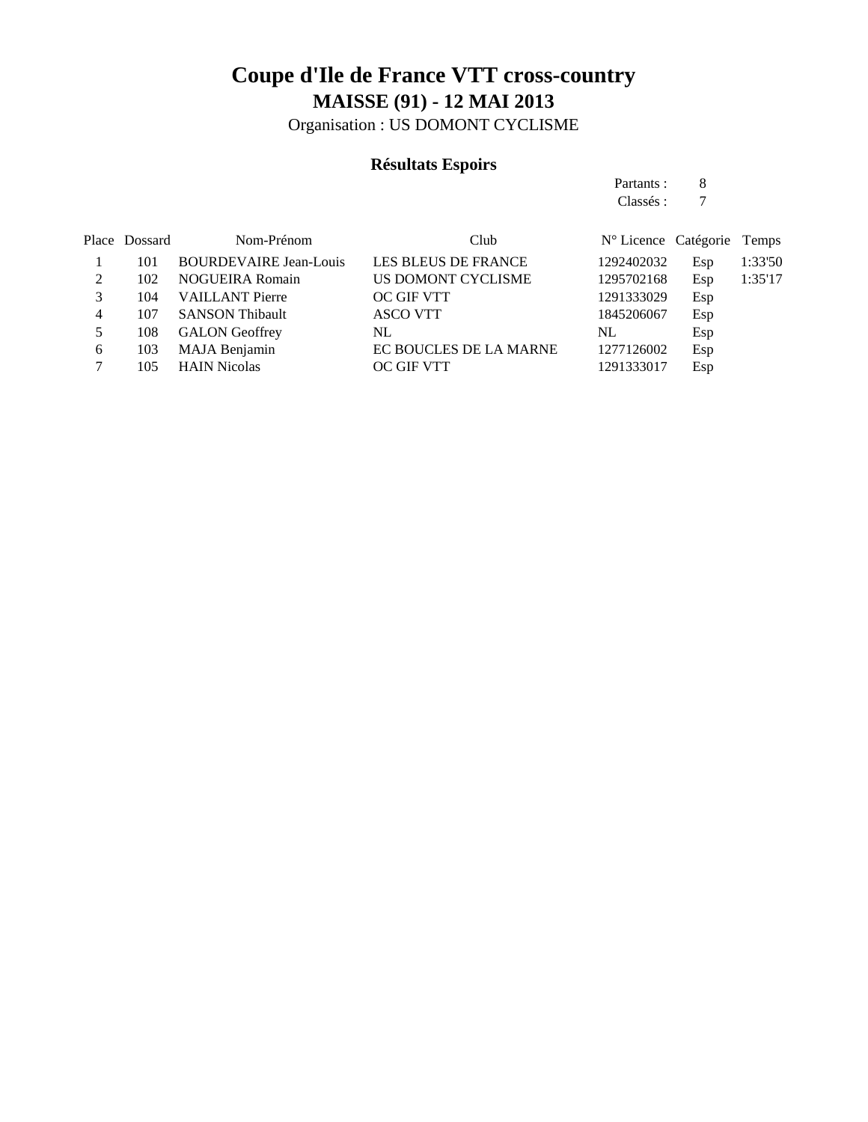Organisation : US DOMONT CYCLISME

#### **Résultats Espoirs**

Partants : 8 Classés : 7

|   | Place Dossard | Nom-Prénom                    | Club                   | N° Licence Catégorie Temps |     |         |
|---|---------------|-------------------------------|------------------------|----------------------------|-----|---------|
|   | 101           | <b>BOURDEVAIRE Jean-Louis</b> | LES BLEUS DE FRANCE    | 1292402032                 | Esp | 1:33'50 |
|   | 102           | <b>NOGUEIRA Romain</b>        | US DOMONT CYCLISME     | 1295702168                 | Esp | 1:35'17 |
|   | 104           | <b>VAILLANT Pierre</b>        | <b>OC GIF VTT</b>      | 1291333029                 | Esp |         |
| 4 | 107           | <b>SANSON Thibault</b>        | <b>ASCO VTT</b>        | 1845206067                 | Esp |         |
|   | 108           | <b>GALON</b> Geoffrey         | NL.                    | NL                         | Esp |         |
| 6 | 103           | MAJA Benjamin                 | EC BOUCLES DE LA MARNE | 1277126002                 | Esp |         |
|   | 105           | <b>HAIN Nicolas</b>           | <b>OC GIF VTT</b>      | 1291333017                 | Esp |         |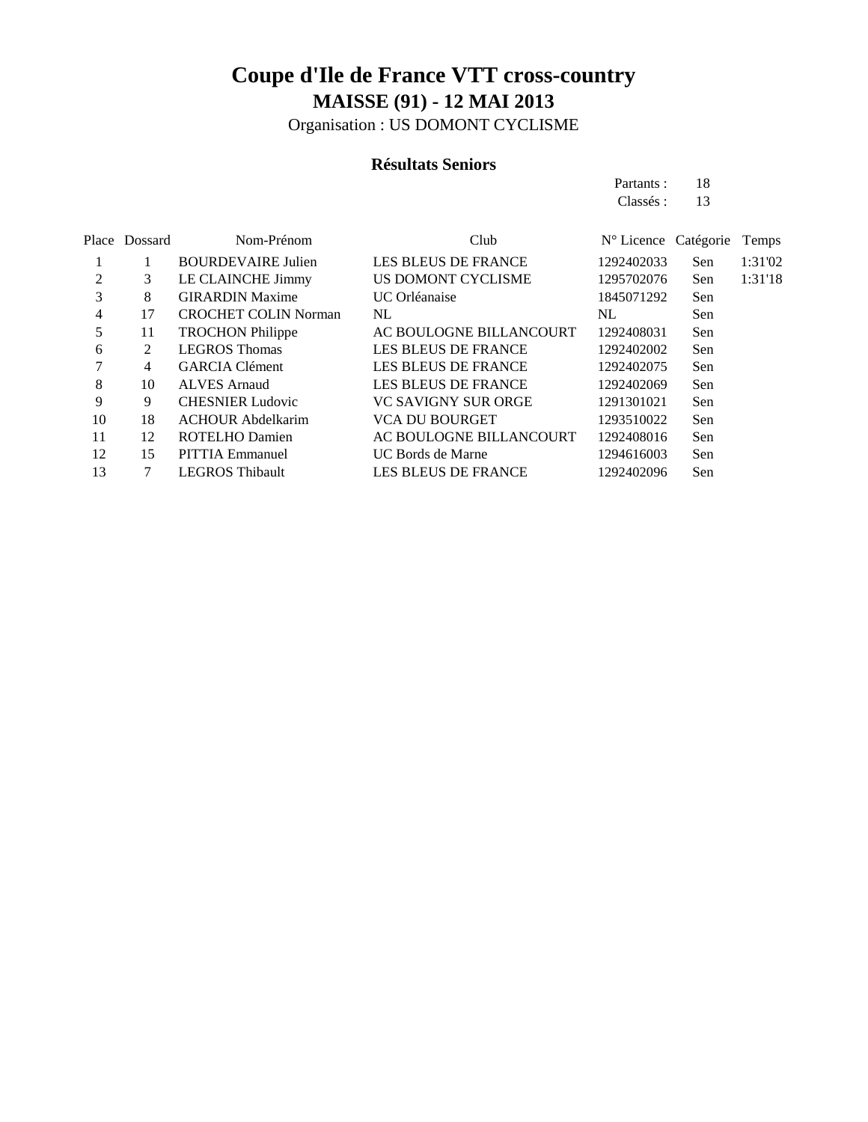Organisation : US DOMONT CYCLISME

#### **Résultats Seniors**

Partants : 18 Classés: 13

| Place | Dossard | Nom-Prénom                  | Club                       | N° Licence Catégorie |     | Temps   |
|-------|---------|-----------------------------|----------------------------|----------------------|-----|---------|
|       |         | <b>BOURDEVAIRE Julien</b>   | <b>LES BLEUS DE FRANCE</b> | 1292402033           | Sen | 1:31'02 |
| 2     | 3       | LE CLAINCHE Jimmy           | US DOMONT CYCLISME         | 1295702076           | Sen | 1:31'18 |
| 3     | 8       | <b>GIRARDIN Maxime</b>      | UC Orléanaise              | 1845071292           | Sen |         |
| 4     | 17      | <b>CROCHET COLIN Norman</b> | NL                         | NL.                  | Sen |         |
| 5     | 11      | <b>TROCHON Philippe</b>     | AC BOULOGNE BILLANCOURT    | 1292408031           | Sen |         |
| 6     | 2       | <b>LEGROS</b> Thomas        | <b>LES BLEUS DE FRANCE</b> | 1292402002           | Sen |         |
|       | 4       | <b>GARCIA</b> Clément       | <b>LES BLEUS DE FRANCE</b> | 1292402075           | Sen |         |
| 8     | 10      | <b>ALVES</b> Arnaud         | <b>LES BLEUS DE FRANCE</b> | 1292402069           | Sen |         |
| 9     | 9       | <b>CHESNIER Ludovic</b>     | <b>VC SAVIGNY SUR ORGE</b> | 1291301021           | Sen |         |
| 10    | 18      | <b>ACHOUR Abdelkarim</b>    | <b>VCA DU BOURGET</b>      | 1293510022           | Sen |         |
| 11    | 12      | <b>ROTELHO Damien</b>       | AC BOULOGNE BILLANCOURT    | 1292408016           | Sen |         |
| 12    | 15      | <b>PITTIA Emmanuel</b>      | UC Bords de Marne          | 1294616003           | Sen |         |
| 13    | 7       | <b>LEGROS Thibault</b>      | <b>LES BLEUS DE FRANCE</b> | 1292402096           | Sen |         |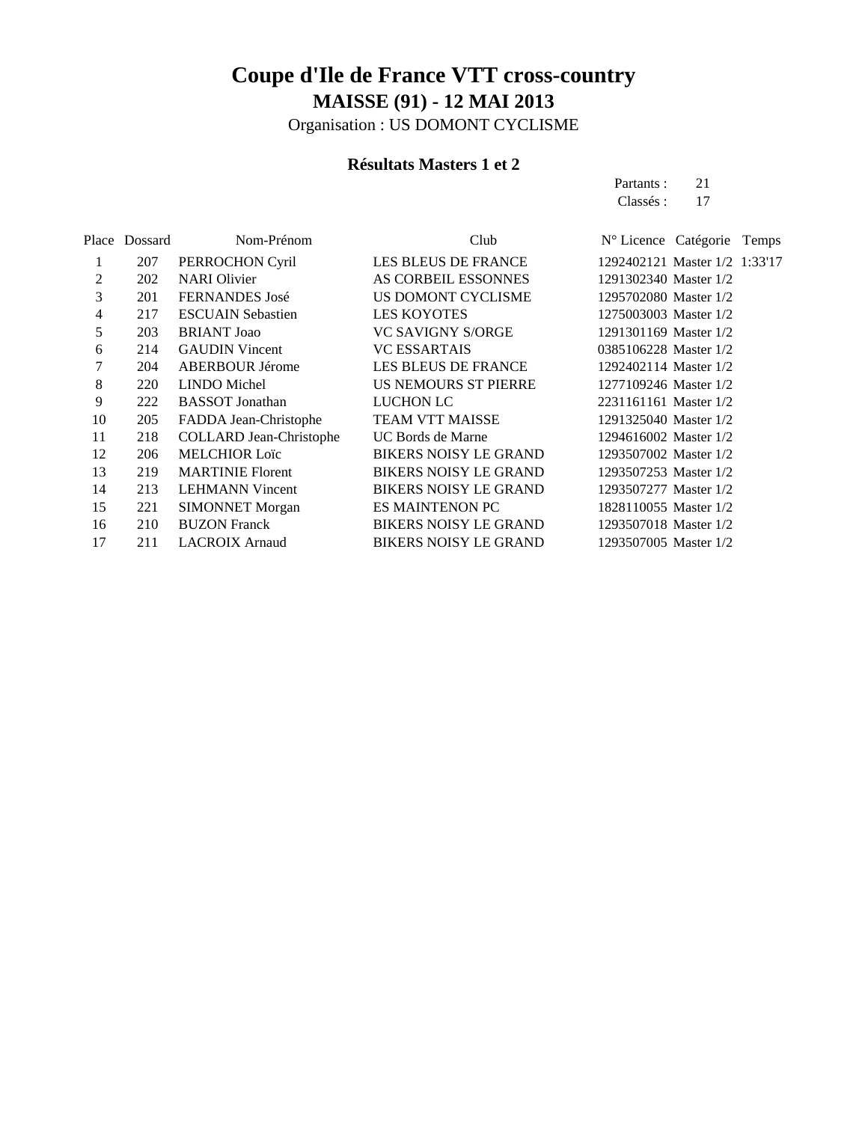Organisation : US DOMONT CYCLISME

#### **Résultats Masters 1 et 2**

Partants : 21 Classés: 17

|    | Place Dossard | Nom-Prénom                     | Club                         | N° Licence Catégorie Temps    |
|----|---------------|--------------------------------|------------------------------|-------------------------------|
| 1  | 207           | PERROCHON Cyril                | LES BLEUS DE FRANCE          | 1292402121 Master 1/2 1:33'17 |
| 2  | 202           | <b>NARI</b> Olivier            | AS CORBEIL ESSONNES          | 1291302340 Master 1/2         |
| 3  | 201           | <b>FERNANDES</b> José          | US DOMONT CYCLISME           | 1295702080 Master 1/2         |
| 4  | 217           | <b>ESCUAIN Sebastien</b>       | <b>LES KOYOTES</b>           | 1275003003 Master 1/2         |
| 5  | 203           | <b>BRIANT</b> Joao             | <b>VC SAVIGNY S/ORGE</b>     | 1291301169 Master 1/2         |
| 6  | 214           | <b>GAUDIN</b> Vincent          | <b>VC ESSARTAIS</b>          | 0385106228 Master 1/2         |
| 7  | 204           | <b>ABERBOUR Jérome</b>         | <b>LES BLEUS DE FRANCE</b>   | 1292402114 Master 1/2         |
| 8  | 220           | <b>LINDO</b> Michel            | US NEMOURS ST PIERRE         | 1277109246 Master 1/2         |
| 9  | 222           | <b>BASSOT</b> Jonathan         | <b>LUCHON LC</b>             | 2231161161 Master 1/2         |
| 10 | 205           | FADDA Jean-Christophe          | TEAM VTT MAISSE              | 1291325040 Master 1/2         |
| 11 | 218           | <b>COLLARD Jean-Christophe</b> | UC Bords de Marne            | 1294616002 Master 1/2         |
| 12 | 206           | <b>MELCHIOR Loïc</b>           | <b>BIKERS NOISY LE GRAND</b> | 1293507002 Master 1/2         |
| 13 | 219           | <b>MARTINIE Florent</b>        | <b>BIKERS NOISY LE GRAND</b> | 1293507253 Master 1/2         |
| 14 | 213           | <b>LEHMANN Vincent</b>         | <b>BIKERS NOISY LE GRAND</b> | 1293507277 Master 1/2         |
| 15 | 221           | <b>SIMONNET Morgan</b>         | <b>ES MAINTENON PC</b>       | 1828110055 Master 1/2         |
| 16 | 210           | <b>BUZON Franck</b>            | <b>BIKERS NOISY LE GRAND</b> | 1293507018 Master 1/2         |
| 17 | 211           | <b>LACROIX</b> Arnaud          | <b>BIKERS NOISY LE GRAND</b> | 1293507005 Master 1/2         |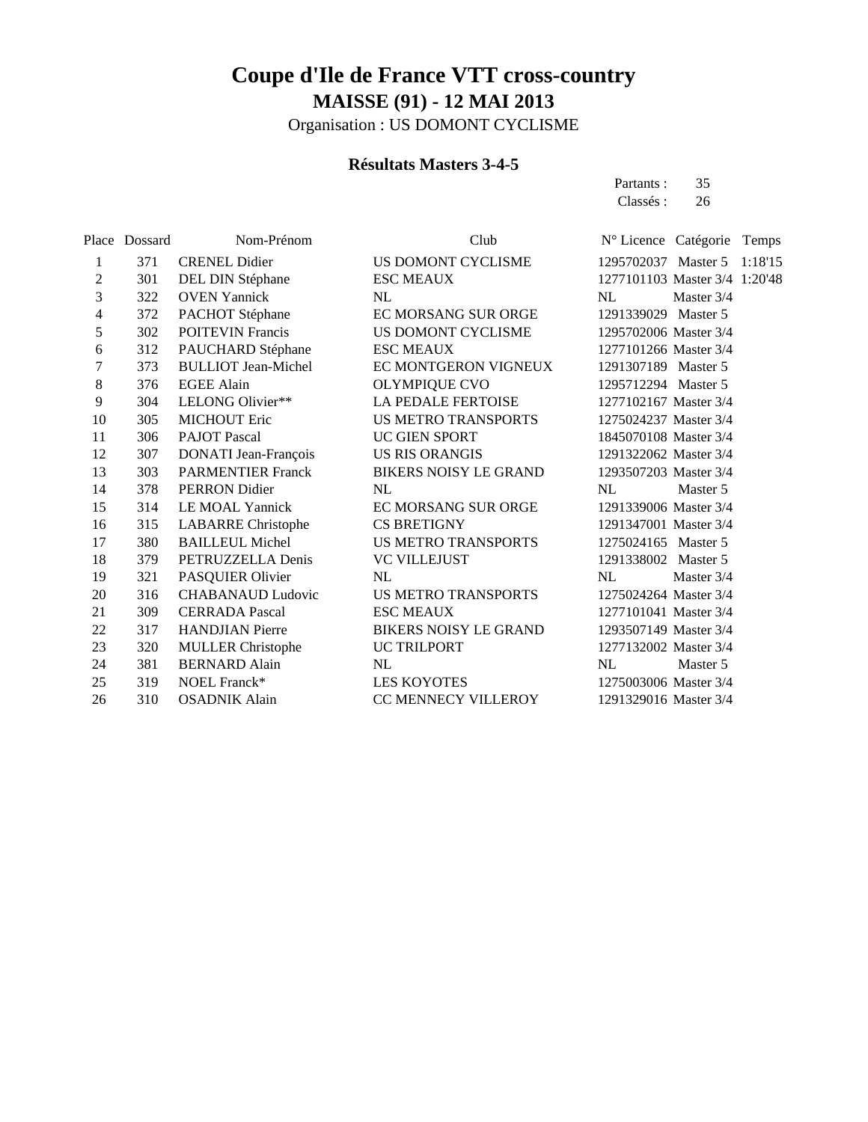Organisation : US DOMONT CYCLISME

#### **Résultats Masters 3-4-5**

Partants : 35 Classés : 26

|    | Place Dossard | Nom-Prénom                 | Club                         | Nº Licence Catégorie Temps    |            |         |
|----|---------------|----------------------------|------------------------------|-------------------------------|------------|---------|
| 1  | 371           | <b>CRENEL Didier</b>       | US DOMONT CYCLISME           | 1295702037 Master 5           |            | 1:18'15 |
| 2  | 301           | DEL DIN Stéphane           | <b>ESC MEAUX</b>             | 1277101103 Master 3/4 1:20'48 |            |         |
| 3  | 322           | <b>OVEN</b> Yannick        | NL                           | NL                            | Master 3/4 |         |
| 4  | 372           | PACHOT Stéphane            | EC MORSANG SUR ORGE          | 1291339029 Master 5           |            |         |
| 5  | 302           | <b>POITEVIN Francis</b>    | US DOMONT CYCLISME           | 1295702006 Master 3/4         |            |         |
| 6  | 312           | PAUCHARD Stéphane          | <b>ESC MEAUX</b>             | 1277101266 Master 3/4         |            |         |
| 7  | 373           | <b>BULLIOT Jean-Michel</b> | EC MONTGERON VIGNEUX         | 1291307189 Master 5           |            |         |
| 8  | 376           | <b>EGEE Alain</b>          | <b>OLYMPIQUE CVO</b>         | 1295712294 Master 5           |            |         |
| 9  | 304           | LELONG Olivier**           | LA PEDALE FERTOISE           | 1277102167 Master 3/4         |            |         |
| 10 | 305           | <b>MICHOUT Eric</b>        | US METRO TRANSPORTS          | 1275024237 Master 3/4         |            |         |
| 11 | 306           | <b>PAJOT Pascal</b>        | UC GIEN SPORT                | 1845070108 Master 3/4         |            |         |
| 12 | 307           | DONATI Jean-François       | <b>US RIS ORANGIS</b>        | 1291322062 Master 3/4         |            |         |
| 13 | 303           | <b>PARMENTIER Franck</b>   | BIKERS NOISY LE GRAND        | 1293507203 Master 3/4         |            |         |
| 14 | 378           | <b>PERRON</b> Didier       | NL                           | NL                            | Master 5   |         |
| 15 | 314           | LE MOAL Yannick            | EC MORSANG SUR ORGE          | 1291339006 Master 3/4         |            |         |
| 16 | 315           | <b>LABARRE</b> Christophe  | <b>CS BRETIGNY</b>           | 1291347001 Master 3/4         |            |         |
| 17 | 380           | <b>BAILLEUL Michel</b>     | <b>US METRO TRANSPORTS</b>   | 1275024165 Master 5           |            |         |
| 18 | 379           | PETRUZZELLA Denis          | <b>VC VILLEJUST</b>          | 1291338002 Master 5           |            |         |
| 19 | 321           | PASQUIER Olivier           | NL                           | NL                            | Master 3/4 |         |
| 20 | 316           | <b>CHABANAUD Ludovic</b>   | US METRO TRANSPORTS          | 1275024264 Master 3/4         |            |         |
| 21 | 309           | <b>CERRADA Pascal</b>      | <b>ESC MEAUX</b>             | 1277101041 Master 3/4         |            |         |
| 22 | 317           | <b>HANDJIAN</b> Pierre     | <b>BIKERS NOISY LE GRAND</b> | 1293507149 Master 3/4         |            |         |
| 23 | 320           | <b>MULLER Christophe</b>   | UC TRILPORT                  | 1277132002 Master 3/4         |            |         |
| 24 | 381           | <b>BERNARD</b> Alain       | NL                           | NL                            | Master 5   |         |
| 25 | 319           | NOEL Franck*               | <b>LES KOYOTES</b>           | 1275003006 Master 3/4         |            |         |
| 26 | 310           | <b>OSADNIK Alain</b>       | CC MENNECY VILLEROY          | 1291329016 Master 3/4         |            |         |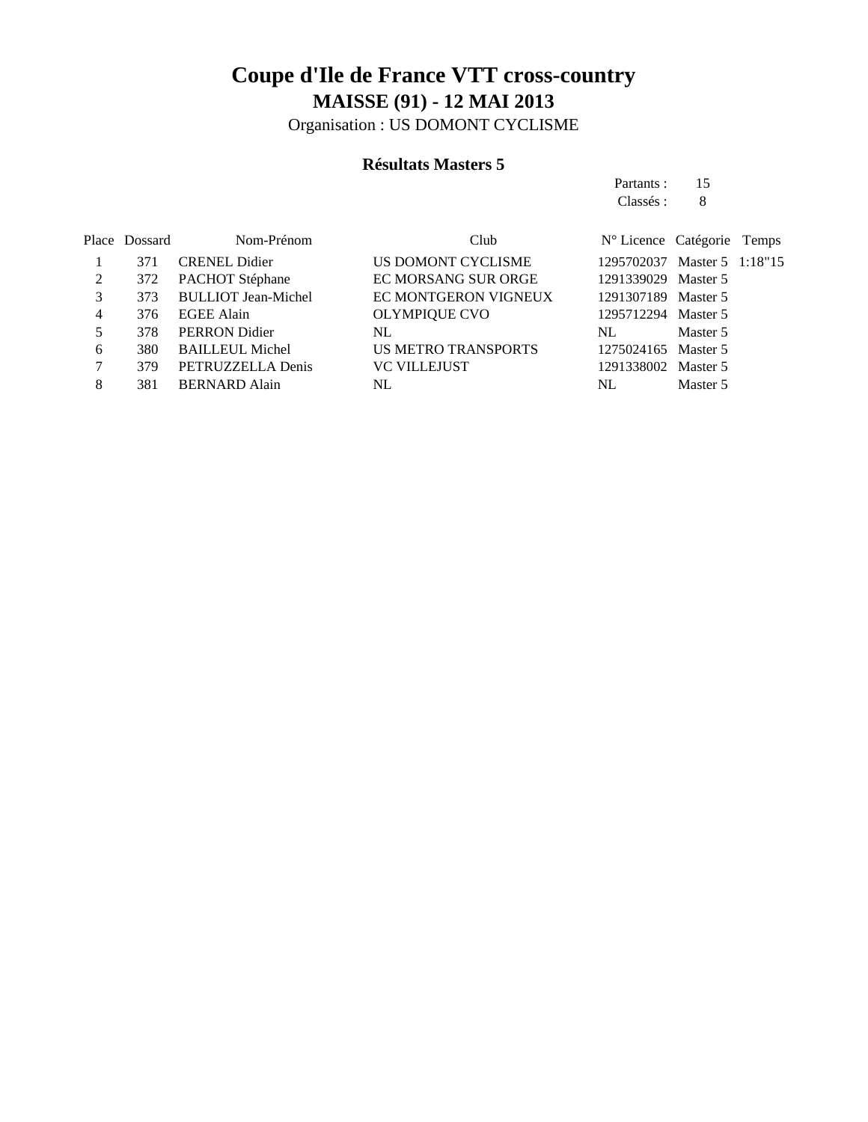Organisation : US DOMONT CYCLISME

#### **Résultats Masters 5**

Partants : 15 Classés : 8

|   | Place Dossard | Nom-Prénom                 | Club                       | N° Licence Catégorie Temps  |          |  |
|---|---------------|----------------------------|----------------------------|-----------------------------|----------|--|
|   | 371           | <b>CRENEL Didier</b>       | US DOMONT CYCLISME         | 1295702037 Master 5 1:18"15 |          |  |
| 2 | 372           | PACHOT Stéphane            | EC MORSANG SUR ORGE        | 1291339029 Master 5         |          |  |
| 3 | 373           | <b>BULLIOT Jean-Michel</b> | EC MONTGERON VIGNEUX       | 1291307189 Master 5         |          |  |
| 4 | 376           | <b>EGEE Alain</b>          | <b>OLYMPIQUE CVO</b>       | 1295712294                  | Master 5 |  |
|   | 378           | <b>PERRON</b> Didier       | NL                         | NL.                         | Master 5 |  |
| 6 | 380           | <b>BAILLEUL Michel</b>     | <b>US METRO TRANSPORTS</b> | 1275024165 Master 5         |          |  |
|   | 379           | PETRUZZELLA Denis          | <b>VC VILLEJUST</b>        | 1291338002                  | Master 5 |  |
|   | 381           | <b>BERNARD Alain</b>       | NL                         | NL                          | Master 5 |  |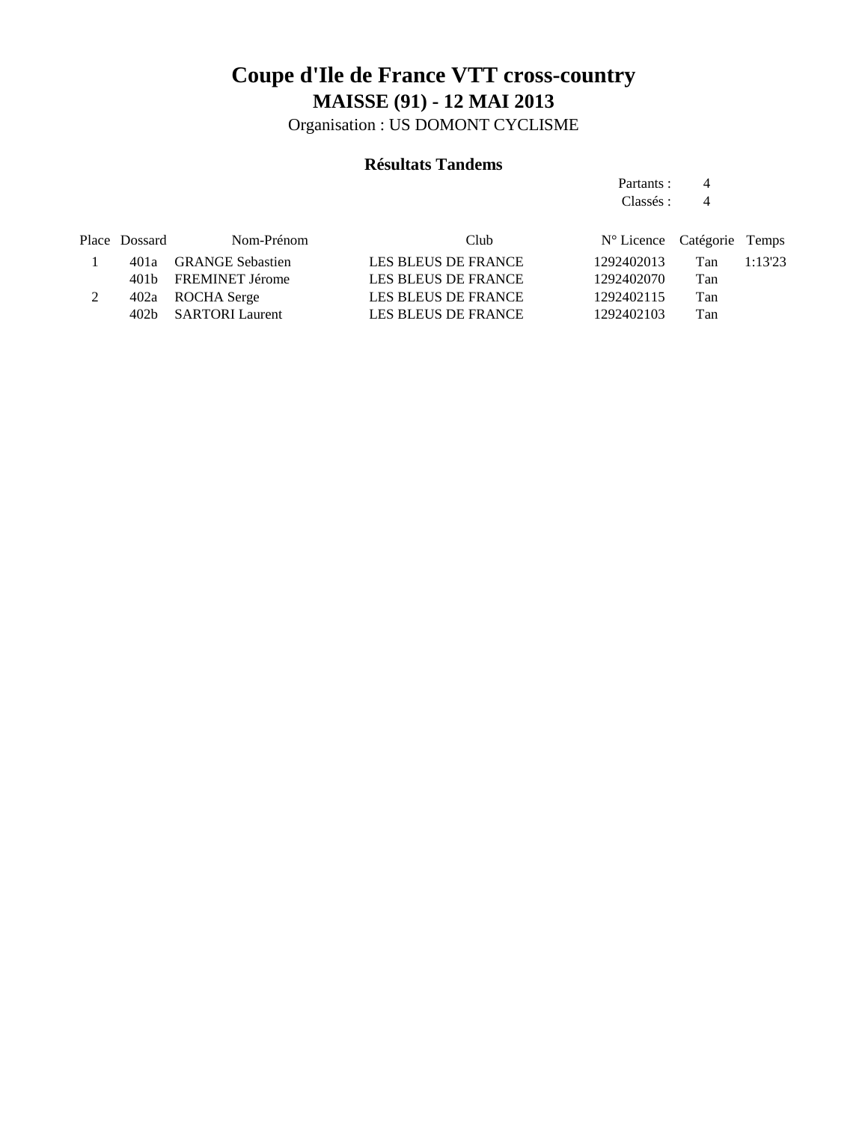Organisation : US DOMONT CYCLISME

#### **Résultats Tandems**

Partants : 4 Classés : 4

| Nom-Prénom | Club                                                                                                       |            |     |                                     |
|------------|------------------------------------------------------------------------------------------------------------|------------|-----|-------------------------------------|
|            | LES BLEUS DE FRANCE                                                                                        | 1292402013 | Tan | 1:13'23                             |
|            | LES BLEUS DE FRANCE                                                                                        | 1292402070 | Tan |                                     |
|            | LES BLEUS DE FRANCE                                                                                        | 1292402115 | Tan |                                     |
|            | LES BLEUS DE FRANCE                                                                                        | 1292402103 | Tan |                                     |
|            | Place Dossard<br>401a GRANGE Sebastien<br>401b FREMINET Jérome<br>402a ROCHA Serge<br>402b SARTORI Laurent |            |     | $N^{\circ}$ Licence Catégorie Temps |